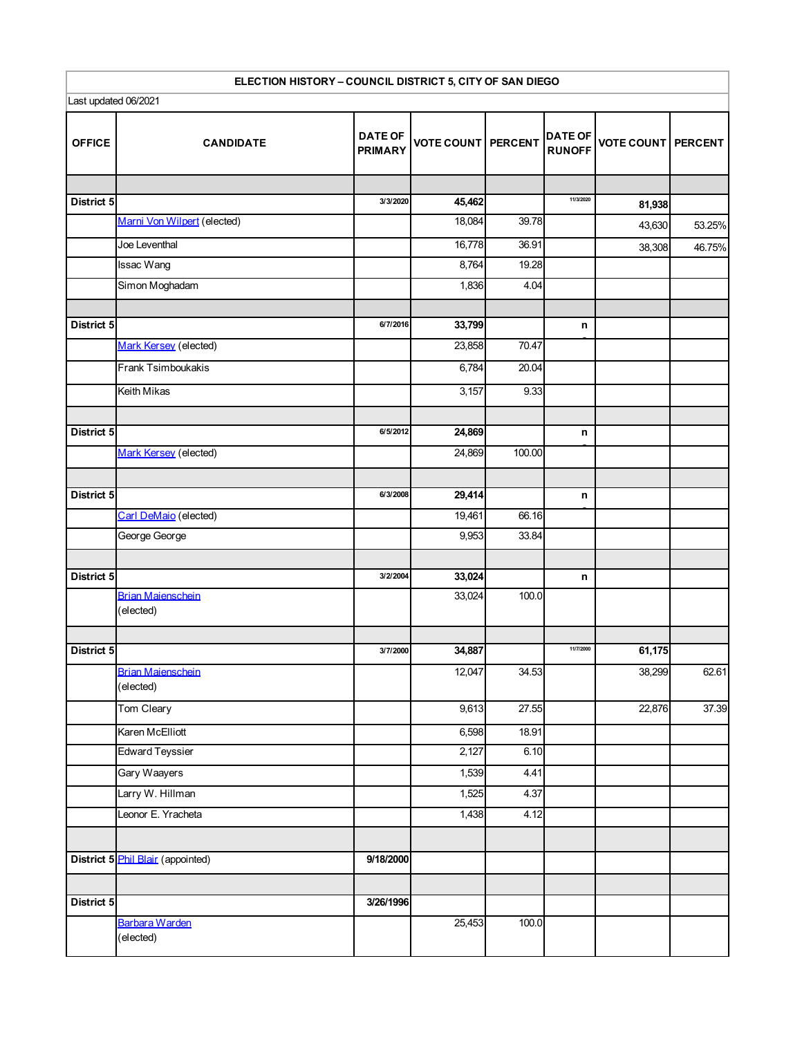| ELECTION HISTORY - COUNCIL DISTRICT 5, CITY OF SAN DIEGO |                                       |                                  |                           |        |                                 |                   |                |  |
|----------------------------------------------------------|---------------------------------------|----------------------------------|---------------------------|--------|---------------------------------|-------------------|----------------|--|
| Last updated 06/2021                                     |                                       |                                  |                           |        |                                 |                   |                |  |
| <b>OFFICE</b>                                            | <b>CANDIDATE</b>                      | <b>DATE OF</b><br><b>PRIMARY</b> | <b>VOTE COUNT PERCENT</b> |        | <b>DATE OF</b><br><b>RUNOFF</b> | <b>VOTE COUNT</b> | <b>PERCENT</b> |  |
|                                                          |                                       |                                  |                           |        |                                 |                   |                |  |
| District 5                                               |                                       | 3/3/2020                         | 45,462                    |        | 11/3/2020                       | 81,938            |                |  |
|                                                          | Marni Von Wilpert (elected)           |                                  | 18,084                    | 39.78  |                                 | 43,630            | 53.25%         |  |
|                                                          | Joe Leventhal                         |                                  | 16,778                    | 36.91  |                                 | 38,308            | 46.75%         |  |
|                                                          | Issac Wang                            |                                  | 8,764                     | 19.28  |                                 |                   |                |  |
|                                                          | Simon Moghadam                        |                                  | 1,836                     | 4.04   |                                 |                   |                |  |
| District 5                                               |                                       | 6/7/2016                         | 33,799                    |        | n                               |                   |                |  |
|                                                          | Mark Kersey (elected)                 |                                  | 23,858                    | 70.47  |                                 |                   |                |  |
|                                                          | Frank Tsimboukakis                    |                                  | 6,784                     | 20.04  |                                 |                   |                |  |
|                                                          | Keith Mikas                           |                                  | 3,157                     | 9.33   |                                 |                   |                |  |
| District 5                                               |                                       | 6/5/2012                         | 24,869                    |        | n                               |                   |                |  |
|                                                          | Mark Kersey (elected)                 |                                  | 24,869                    | 100.00 |                                 |                   |                |  |
|                                                          |                                       |                                  |                           |        |                                 |                   |                |  |
| District 5                                               |                                       | 6/3/2008                         | 29,414                    |        | n                               |                   |                |  |
|                                                          | Carl DeMaio (elected)                 |                                  | 19,461                    | 66.16  |                                 |                   |                |  |
|                                                          | George George                         |                                  | 9,953                     | 33.84  |                                 |                   |                |  |
| District 5                                               |                                       | 3/2/2004                         | 33,024                    |        | n                               |                   |                |  |
|                                                          | <b>Brian Maienschein</b><br>(elected) |                                  | 33,024                    | 100.0  |                                 |                   |                |  |
| District 5                                               |                                       | 3/7/2000                         | 34,887                    |        | 11/7/2000                       | 61,175            |                |  |
|                                                          | <b>Brian Maienschein</b><br>(elected) |                                  | 12,047                    | 34.53  |                                 | 38,299            | 62.61          |  |
|                                                          | Tom Cleary                            |                                  | 9,613                     | 27.55  |                                 | 22,876            | 37.39          |  |
|                                                          | Karen McElliott                       |                                  | 6,598                     | 18.91  |                                 |                   |                |  |
|                                                          | <b>Edward Teyssier</b>                |                                  | 2,127                     | 6.10   |                                 |                   |                |  |
|                                                          | Gary Waayers                          |                                  | 1,539                     | 4.41   |                                 |                   |                |  |
|                                                          | Larry W. Hillman                      |                                  | 1,525                     | 4.37   |                                 |                   |                |  |
|                                                          | Leonor E. Yracheta                    |                                  | 1,438                     | 4.12   |                                 |                   |                |  |
|                                                          | District 5 Phil Blair (appointed)     | 9/18/2000                        |                           |        |                                 |                   |                |  |
|                                                          |                                       |                                  |                           |        |                                 |                   |                |  |
| District 5                                               |                                       | 3/26/1996                        |                           |        |                                 |                   |                |  |
|                                                          | Barbara Warden<br>(elected)           |                                  | 25,453                    | 100.0  |                                 |                   |                |  |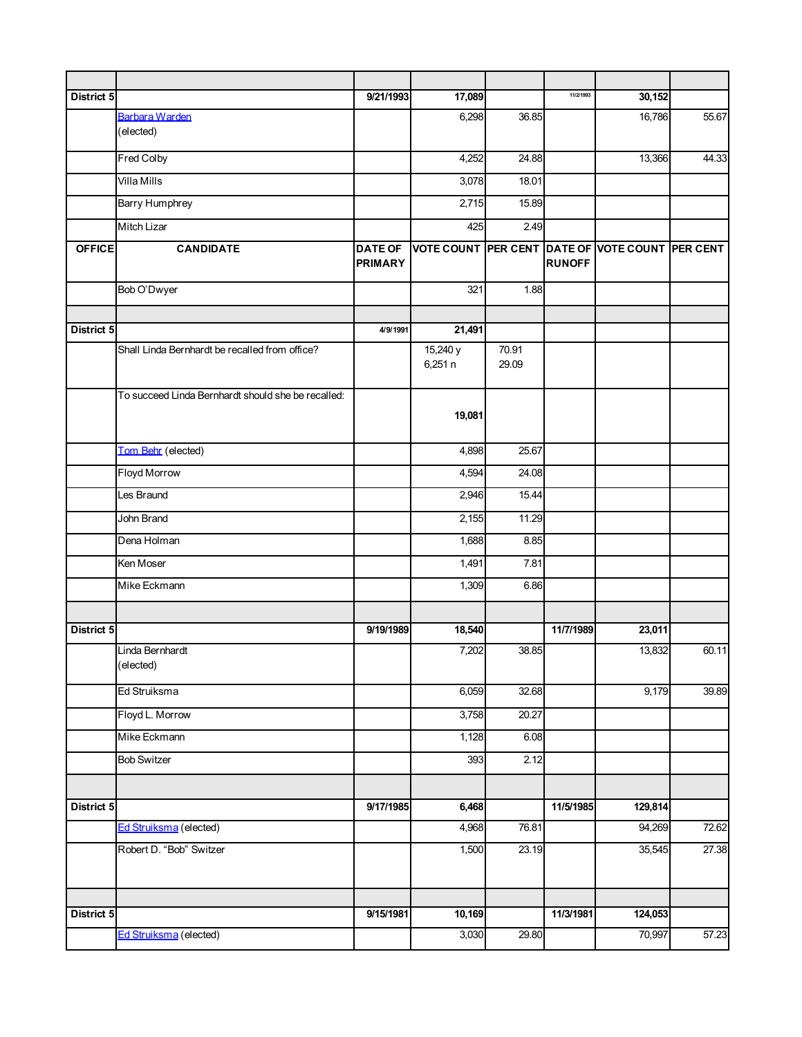| District 5    |                                                    | 9/21/1993                        | 17,089              |                | 11/2/1993     | 30,152                                          |       |
|---------------|----------------------------------------------------|----------------------------------|---------------------|----------------|---------------|-------------------------------------------------|-------|
|               | Barbara Warden<br>(elected)                        |                                  | 6,298               | 36.85          |               | 16,786                                          | 55.67 |
|               | Fred Colby                                         |                                  | 4,252               | 24.88          |               | 13,366                                          | 44.33 |
|               | Villa Mills                                        |                                  | 3,078               | 18.01          |               |                                                 |       |
|               | <b>Barry Humphrey</b>                              |                                  | 2,715               | 15.89          |               |                                                 |       |
|               | Mitch Lizar                                        |                                  | 425                 | 2.49           |               |                                                 |       |
| <b>OFFICE</b> | <b>CANDIDATE</b>                                   | <b>DATE OF</b><br><b>PRIMARY</b> |                     |                | <b>RUNOFF</b> | VOTE COUNT PER CENT DATE OF VOTE COUNT PER CENT |       |
|               | Bob O'Dwyer                                        |                                  | 321                 | 1.88           |               |                                                 |       |
|               |                                                    |                                  |                     |                |               |                                                 |       |
| District 5    |                                                    | 4/9/1991                         | 21,491              |                |               |                                                 |       |
|               | Shall Linda Bernhardt be recalled from office?     |                                  | 15,240 y<br>6,251 n | 70.91<br>29.09 |               |                                                 |       |
|               | To succeed Linda Bernhardt should she be recalled: |                                  | 19,081              |                |               |                                                 |       |
|               | Tom Behr (elected)                                 |                                  | 4,898               | 25.67          |               |                                                 |       |
|               | Floyd Morrow                                       |                                  | 4,594               | 24.08          |               |                                                 |       |
|               | Les Braund                                         |                                  | 2,946               | 15.44          |               |                                                 |       |
|               | John Brand                                         |                                  | 2,155               | 11.29          |               |                                                 |       |
|               | Dena Holman                                        |                                  | 1,688               | 8.85           |               |                                                 |       |
|               | Ken Moser                                          |                                  | 1,491               | 7.81           |               |                                                 |       |
|               | Mike Eckmann                                       |                                  | 1,309               | 6.86           |               |                                                 |       |
| District 5    |                                                    | 9/19/1989                        | 18,540              |                | 11/7/1989     | 23,011                                          |       |
|               | Linda Bernhardt<br>(elected)                       |                                  | 7,202               | 38.85          |               | 13,832                                          | 60.11 |
|               | Ed Struiksma                                       |                                  | 6,059               | 32.68          |               | 9,179                                           | 39.89 |
|               | Floyd L. Morrow                                    |                                  | 3,758               | 20.27          |               |                                                 |       |
|               | Mike Eckmann                                       |                                  | 1,128               | 6.08           |               |                                                 |       |
|               | <b>Bob Switzer</b>                                 |                                  | 393                 | 2.12           |               |                                                 |       |
|               |                                                    |                                  |                     |                |               |                                                 |       |
| District 5    |                                                    | 9/17/1985                        | 6,468               |                | 11/5/1985     | 129,814                                         |       |
|               | Ed Struiksma (elected)                             |                                  | 4,968               | 76.81          |               | 94,269                                          | 72.62 |
|               | Robert D. "Bob" Switzer                            |                                  | $\overline{1,500}$  | 23.19          |               | 35,545                                          | 27.38 |
|               |                                                    |                                  |                     |                |               |                                                 |       |
| District 5    |                                                    | 9/15/1981                        | 10,169              |                | 11/3/1981     | 124,053                                         |       |
|               | Ed Struiksma (elected)                             |                                  | 3,030               | 29.80          |               | 70,997                                          | 57.23 |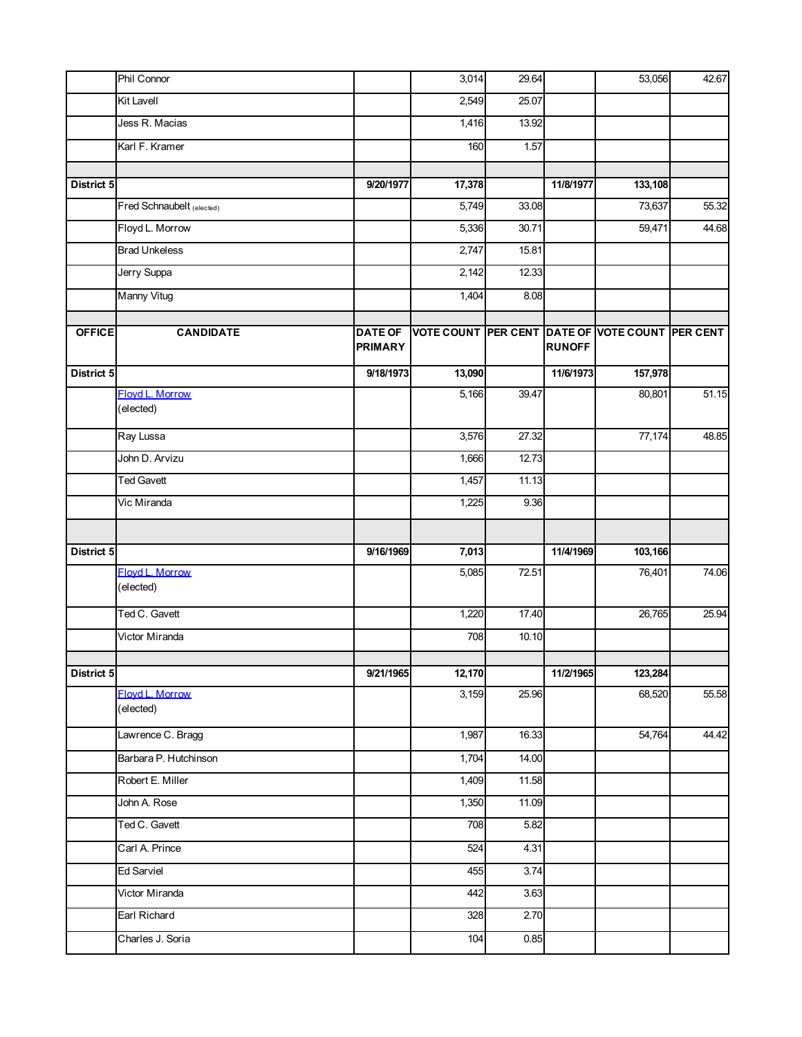|               | Phil Connor                  |                                  | 3,014                                           | 29.64 |               | 53,056  | 42.67 |
|---------------|------------------------------|----------------------------------|-------------------------------------------------|-------|---------------|---------|-------|
|               | <b>Kit Lavell</b>            |                                  | 2,549                                           | 25.07 |               |         |       |
|               | Jess R. Macias               |                                  | 1,416                                           | 13.92 |               |         |       |
|               | Karl F. Kramer               |                                  | 160                                             | 1.57  |               |         |       |
|               |                              |                                  |                                                 |       |               |         |       |
| District 5    |                              | 9/20/1977                        | 17,378                                          |       | 11/8/1977     | 133,108 |       |
|               | Fred Schnaubelt (elected)    |                                  | 5,749                                           | 33.08 |               | 73,637  | 55.32 |
|               | Floyd L. Morrow              |                                  | 5,336                                           | 30.71 |               | 59,471  | 44.68 |
|               | <b>Brad Unkeless</b>         |                                  | 2,747                                           | 15.81 |               |         |       |
|               | Jerry Suppa                  |                                  | 2,142                                           | 12.33 |               |         |       |
|               | Manny Vitug                  |                                  | 1,404                                           | 8.08  |               |         |       |
| <b>OFFICE</b> | <b>CANDIDATE</b>             | <b>DATE OF</b><br><b>PRIMARY</b> | VOTE COUNT PER CENT DATE OF VOTE COUNT PER CENT |       | <b>RUNOFF</b> |         |       |
| District 5    |                              | 9/18/1973                        | 13,090                                          |       | 11/6/1973     | 157,978 |       |
|               | Floyd L. Morrow<br>(elected) |                                  | 5,166                                           | 39.47 |               | 80,801  | 51.15 |
|               | Ray Lussa                    |                                  | 3,576                                           | 27.32 |               | 77,174  | 48.85 |
|               | John D. Arvizu               |                                  | 1,666                                           | 12.73 |               |         |       |
|               | <b>Ted Gavett</b>            |                                  | 1,457                                           | 11.13 |               |         |       |
|               | Vic Miranda                  |                                  | 1,225                                           | 9.36  |               |         |       |
|               |                              |                                  |                                                 |       |               |         |       |
| District 5    |                              | 9/16/1969                        | 7,013                                           |       | 11/4/1969     | 103,166 |       |
|               | Floyd L. Morrow<br>(elected) |                                  | 5,085                                           | 72.51 |               | 76,401  | 74.06 |
|               | Ted C. Gavett                |                                  | 1,220                                           | 17.40 |               | 26,765  | 25.94 |
|               | Victor Miranda               |                                  | 708                                             | 10.10 |               |         |       |
| District 5    |                              | 9/21/1965                        | 12,170                                          |       | 11/2/1965     | 123,284 |       |
|               | Flovd L. Morrow<br>(elected) |                                  | 3,159                                           | 25.96 |               | 68,520  | 55.58 |
|               | Lawrence C. Bragg            |                                  | 1,987                                           | 16.33 |               | 54,764  | 44.42 |
|               | Barbara P. Hutchinson        |                                  | 1,704                                           | 14.00 |               |         |       |
|               | Robert E. Miller             |                                  | 1,409                                           | 11.58 |               |         |       |
|               | John A. Rose                 |                                  | 1,350                                           | 11.09 |               |         |       |
|               | Ted C. Gavett                |                                  | 708                                             | 5.82  |               |         |       |
|               | Carl A. Prince               |                                  | 524                                             | 4.31  |               |         |       |
|               | <b>Ed Sarviel</b>            |                                  | 455                                             | 3.74  |               |         |       |
|               |                              |                                  |                                                 |       |               |         |       |
|               | Victor Miranda               |                                  | 442                                             | 3.63  |               |         |       |
|               | Earl Richard                 |                                  | 328                                             | 2.70  |               |         |       |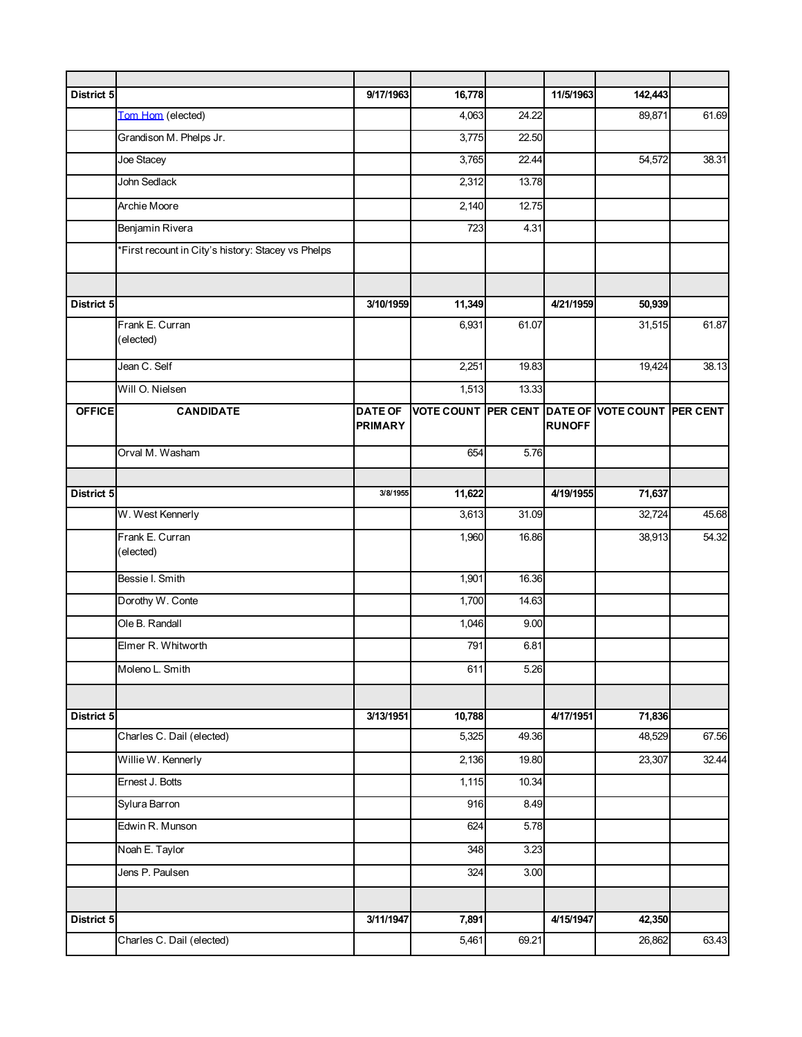| District 5    |                                                    | 9/17/1963                        | 16,778 |       | 11/5/1963     | 142,443                                         |       |
|---------------|----------------------------------------------------|----------------------------------|--------|-------|---------------|-------------------------------------------------|-------|
|               | Tom Hom (elected)                                  |                                  | 4,063  | 24.22 |               | 89,871                                          | 61.69 |
|               | Grandison M. Phelps Jr.                            |                                  | 3,775  | 22.50 |               |                                                 |       |
|               | Joe Stacey                                         |                                  | 3,765  | 22.44 |               | 54,572                                          | 38.31 |
|               | John Sedlack                                       |                                  | 2,312  | 13.78 |               |                                                 |       |
|               | Archie Moore                                       |                                  | 2,140  | 12.75 |               |                                                 |       |
|               | Benjamin Rivera                                    |                                  | 723    | 4.31  |               |                                                 |       |
|               | *First recount in City's history: Stacey vs Phelps |                                  |        |       |               |                                                 |       |
|               |                                                    |                                  |        |       |               |                                                 |       |
| District 5    |                                                    | 3/10/1959                        | 11,349 |       | 4/21/1959     | 50,939                                          |       |
|               | Frank E. Curran<br>(elected)                       |                                  | 6,931  | 61.07 |               | 31,515                                          | 61.87 |
|               | Jean C. Self                                       |                                  | 2,251  | 19.83 |               | 19,424                                          | 38.13 |
|               | Will O. Nielsen                                    |                                  | 1,513  | 13.33 |               |                                                 |       |
| <b>OFFICE</b> | <b>CANDIDATE</b>                                   | <b>DATE OF</b><br><b>PRIMARY</b> |        |       | <b>RUNOFF</b> | VOTE COUNT PER CENT DATE OF VOTE COUNT PER CENT |       |
|               | Orval M. Washam                                    |                                  | 654    | 5.76  |               |                                                 |       |
|               |                                                    |                                  |        |       |               |                                                 |       |
| District 5    |                                                    | 3/8/1955                         | 11,622 |       | 4/19/1955     | 71,637                                          |       |
|               | W. West Kennerly                                   |                                  | 3,613  | 31.09 |               | 32,724                                          | 45.68 |
|               | Frank E. Curran<br>(elected)                       |                                  | 1,960  | 16.86 |               | 38,913                                          | 54.32 |
|               | Bessie I. Smith                                    |                                  | 1,901  | 16.36 |               |                                                 |       |
|               | Dorothy W. Conte                                   |                                  | 1,700  | 14.63 |               |                                                 |       |
|               | Ole B. Randall                                     |                                  | 1,046  | 9.00  |               |                                                 |       |
|               | Elmer R. Whitworth                                 |                                  | 791    | 6.81  |               |                                                 |       |
|               | Moleno L. Smith                                    |                                  | 611    | 5.26  |               |                                                 |       |
|               |                                                    |                                  |        |       |               |                                                 |       |
| District 5    |                                                    | 3/13/1951                        | 10,788 |       | 4/17/1951     | 71,836                                          |       |
|               | Charles C. Dail (elected)                          |                                  | 5,325  | 49.36 |               | 48,529                                          | 67.56 |
|               | Willie W. Kennerly                                 |                                  | 2,136  | 19.80 |               | 23,307                                          | 32.44 |
|               | Ernest J. Botts                                    |                                  | 1,115  | 10.34 |               |                                                 |       |
|               | Sylura Barron                                      |                                  | 916    | 8.49  |               |                                                 |       |
|               | Edwin R. Munson                                    |                                  | 624    | 5.78  |               |                                                 |       |
|               | Noah E. Taylor                                     |                                  | 348    | 3.23  |               |                                                 |       |
|               | Jens P. Paulsen                                    |                                  | 324    | 3.00  |               |                                                 |       |
|               |                                                    |                                  |        |       |               |                                                 |       |
| District 5    |                                                    | 3/11/1947                        | 7,891  |       | 4/15/1947     | 42,350                                          |       |
|               | Charles C. Dail (elected)                          |                                  | 5,461  | 69.21 |               | 26,862                                          | 63.43 |